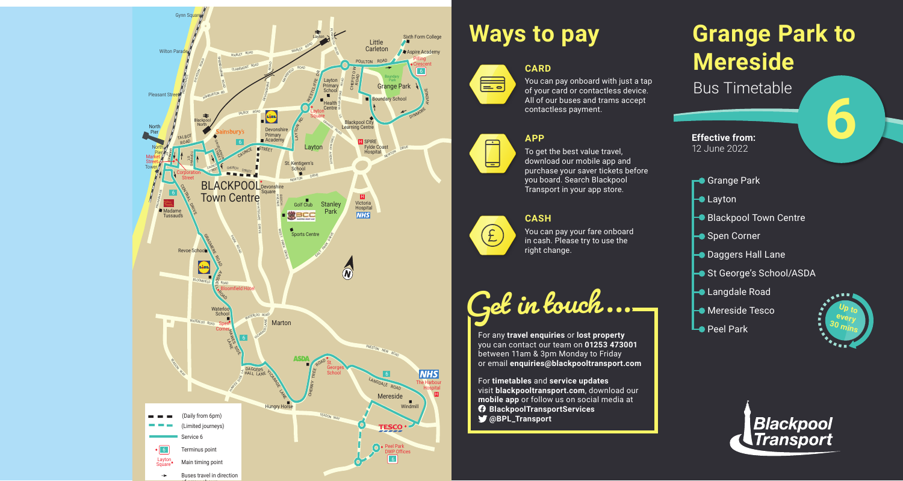## **Grange Park to Mereside** Bus Timetable

- Grange Park
- **<del></del>** Layton
- **Blackpool Town Centre**
- Spen Corner
- **Daggers Hall Lane**
- St George's School/ASDA
- **-** Langdale Road
- **Mereside Tesco**
- $L_{\bullet}$  Peel Park



You can pay onboard with just a tap of your card or contactless device. All of our buses and trams accept contactless payment.



**6**



# **Ways to pay**

**CARD**



### **APP**



To get the best value travel, download our mobile app and purchase your saver tickets before you board. Search Blackpool Transport in your app store.

#### **CASH**



You can pay your fare onboard in cash. Please try to use the right change.

**Get in touch...**

For any **travel enquiries** or **lost property** you can contact our team on **01253 473001** between 11am & 3pm Monday to Friday or email **enquiries@blackpooltransport.com**

For **timetables** and **service updates** visit **blackpooltransport.com**, download our **mobile app** or follow us on social media at **BlackpoolTransportServices @BPL\_Transport**

**Effective from:** 12 June 2022